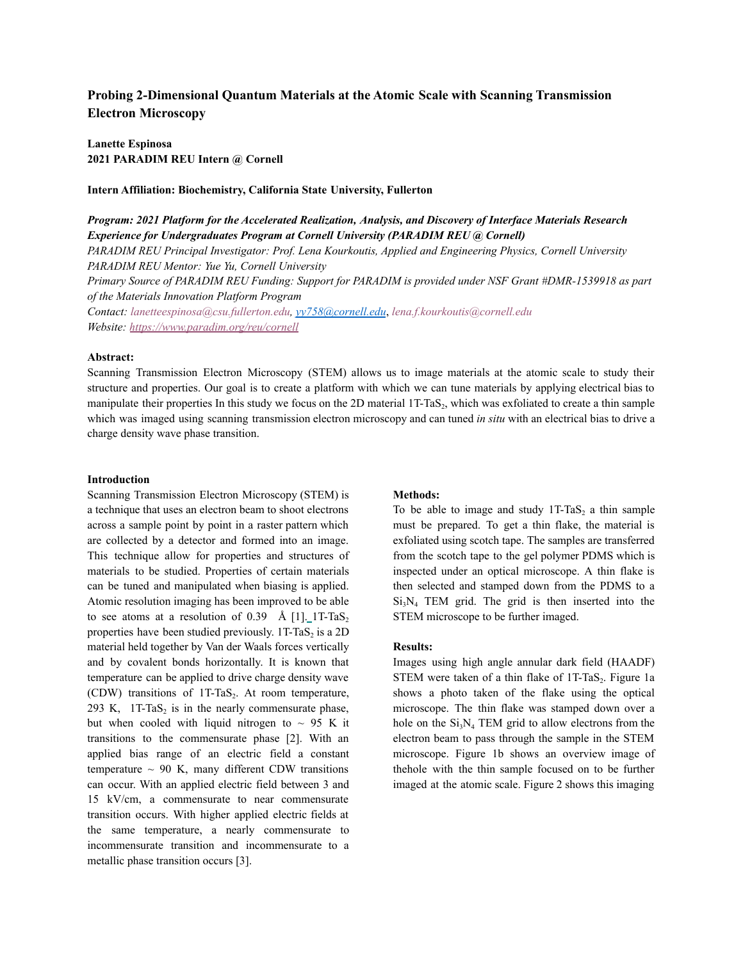# **Probing 2-Dimensional Quantum Materials at the Atomic Scale with Scanning Transmission Electron Microscopy**

**Lanette Espinosa 2021 PARADIM REU Intern @ Cornell**

**Intern Affiliation: Biochemistry, California State University, Fullerton**

*Program: 2021 Platform for the Accelerated Realization, Analysis, and Discovery of Interface Materials Research Experience for Undergraduates Program at Cornell University (PARADIM REU @ Cornell)*

*PARADIM REU Principal Investigator: Prof. Lena Kourkoutis, Applied and Engineering Physics, Cornell University PARADIM REU Mentor: Yue Yu, Cornell University*

Primary Source of PARADIM REU Funding: Support for PARADIM is provided under NSF Grant #DMR-1539918 as part *of the Materials Innovation Platform Program*

*Contact: lanetteespinosa@csu.fullerton.edu, yy758@cornell.edu*, *lena.f.kourkoutis@cornell.edu Website: https://www.paradim.org/reu/cornell*

#### **Abstract:**

Scanning Transmission Electron Microscopy (STEM) allows us to image materials at the atomic scale to study their structure and properties. Our goal is to create a platform with which we can tune materials by applying electrical bias to manipulate their properties In this study we focus on the 2D material 1T-TaS<sub>2</sub>, which was exfoliated to create a thin sample which was imaged using scanning transmission electron microscopy and can tuned *in situ* with an electrical bias to drive a charge density wave phase transition.

## **Introduction**

Scanning Transmission Electron Microscopy (STEM) is a technique that uses an electron beam to shoot electrons across a sample point by point in a raster pattern which are collected by a detector and formed into an image. This technique allow for properties and structures of materials to be studied. Properties of certain materials can be tuned and manipulated when biasing is applied. Atomic resolution imaging has been improved to be able to see atoms at a resolution of 0.39 Å [1].  $1T-TaS$ , properties have been studied previously.  $1T-TaS<sub>2</sub>$  is a 2D material held together by Van der Waals forces vertically and by covalent bonds horizontally. It is known that temperature can be applied to drive charge density wave (CDW) transitions of  $1T-TaS<sub>2</sub>$ . At room temperature, 293 K,  $1T-TaS<sub>2</sub>$  is in the nearly commensurate phase, but when cooled with liquid nitrogen to  $\sim$  95 K it transitions to the commensurate phase [2]. With an applied bias range of an electric field a constant temperature  $\sim$  90 K, many different CDW transitions can occur. With an applied electric field between 3 and 15 kV/cm, a commensurate to near commensurate transition occurs. With higher applied electric fields at the same temperature, a nearly commensurate to incommensurate transition and incommensurate to a metallic phase transition occurs [3].

## **Methods:**

To be able to image and study  $1T-TaS<sub>2</sub>$  a thin sample must be prepared. To get a thin flake, the material is exfoliated using scotch tape. The samples are transferred from the scotch tape to the gel polymer PDMS which is inspected under an optical microscope. A thin flake is then selected and stamped down from the PDMS to a  $Si<sub>3</sub>N<sub>4</sub>$  TEM grid. The grid is then inserted into the STEM microscope to be further imaged.

### **Results:**

Images using high angle annular dark field (HAADF) STEM were taken of a thin flake of  $1T-TaS<sub>2</sub>$ . Figure 1a shows a photo taken of the flake using the optical microscope. The thin flake was stamped down over a hole on the  $Si<sub>3</sub>N<sub>4</sub>$  TEM grid to allow electrons from the electron beam to pass through the sample in the STEM microscope. Figure 1b shows an overview image of thehole with the thin sample focused on to be further imaged at the atomic scale. Figure 2 shows this imaging